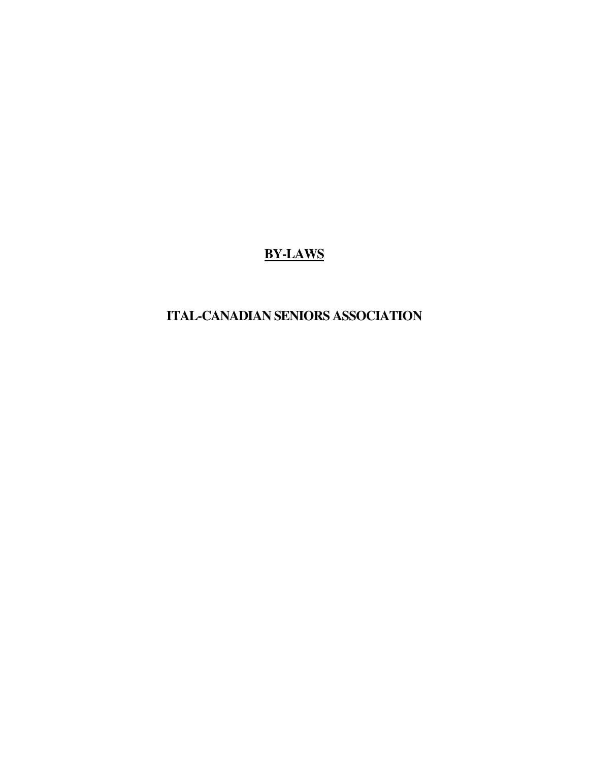# **BY-LAWS**

# **ITAL-CANADIAN SENIORS ASSOCIATION**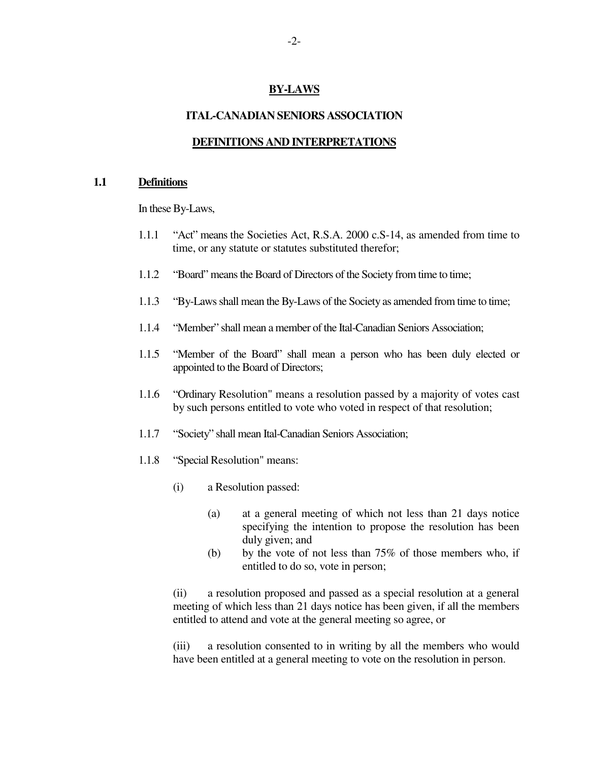## **BY-LAWS**

#### **ITAL-CANADIAN SENIORS ASSOCIATION**

#### **DEFINITIONS AND INTERPRETATIONS**

#### **1.1 Definitions**

In these By-Laws,

- 1.1.1 "Act" means the Societies Act, R.S.A. 2000 c.S-14, as amended from time to time, or any statute or statutes substituted therefor;
- 1.1.2 "Board" means the Board of Directors of the Society from time to time;
- 1.1.3 "By-Laws shall mean the By-Laws of the Society as amended from time to time;
- 1.1.4 "Member" shall mean a member of the Ital-Canadian Seniors Association;
- 1.1.5 "Member of the Board" shall mean a person who has been duly elected or appointed to the Board of Directors;
- 1.1.6 "Ordinary Resolution" means a resolution passed by a majority of votes cast by such persons entitled to vote who voted in respect of that resolution;
- 1.1.7 "Society" shall mean Ital-Canadian Seniors Association;
- 1.1.8 "Special Resolution" means:
	- (i) a Resolution passed:
		- (a) at a general meeting of which not less than 21 days notice specifying the intention to propose the resolution has been duly given; and
		- (b) by the vote of not less than  $75\%$  of those members who, if entitled to do so, vote in person;

(ii) a resolution proposed and passed as a special resolution at a general meeting of which less than 21 days notice has been given, if all the members entitled to attend and vote at the general meeting so agree, or

(iii) a resolution consented to in writing by all the members who would have been entitled at a general meeting to vote on the resolution in person.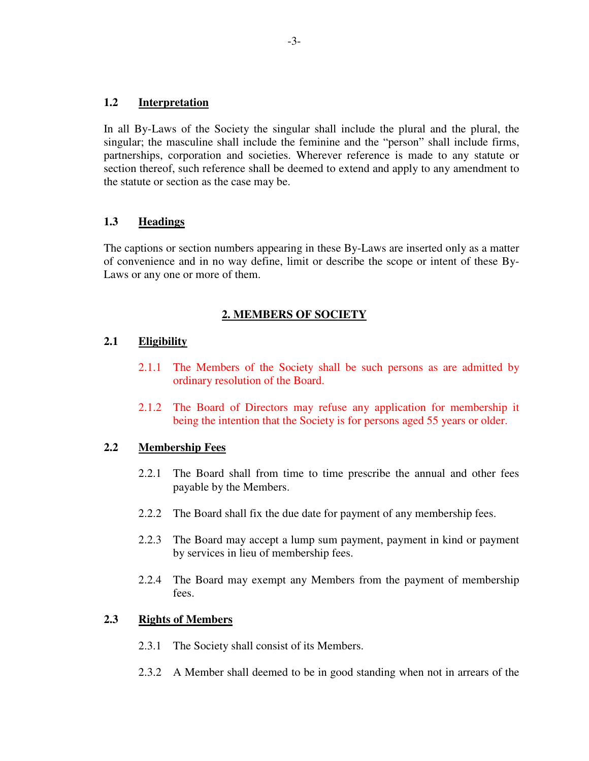#### **1.2 Interpretation**

In all By-Laws of the Society the singular shall include the plural and the plural, the singular; the masculine shall include the feminine and the "person" shall include firms, partnerships, corporation and societies. Wherever reference is made to any statute or section thereof, such reference shall be deemed to extend and apply to any amendment to the statute or section as the case may be.

# **1.3 Headings**

The captions or section numbers appearing in these By-Laws are inserted only as a matter of convenience and in no way define, limit or describe the scope or intent of these By-Laws or any one or more of them.

## **2. MEMBERS OF SOCIETY**

## **2.1 Eligibility**

- 2.1.1 The Members of the Society shall be such persons as are admitted by ordinary resolution of the Board.
- 2.1.2 The Board of Directors may refuse any application for membership it being the intention that the Society is for persons aged 55 years or older.

## **2.2 Membership Fees**

- 2.2.1 The Board shall from time to time prescribe the annual and other fees payable by the Members.
- 2.2.2 The Board shall fix the due date for payment of any membership fees.
- 2.2.3 The Board may accept a lump sum payment, payment in kind or payment by services in lieu of membership fees.
- 2.2.4 The Board may exempt any Members from the payment of membership fees.

## **2.3 Rights of Members**

- 2.3.1 The Society shall consist of its Members.
- 2.3.2 A Member shall deemed to be in good standing when not in arrears of the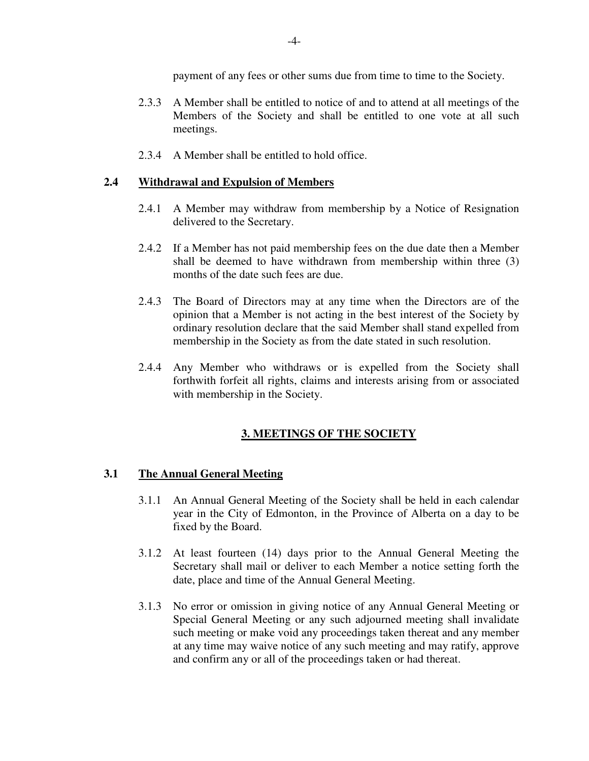payment of any fees or other sums due from time to time to the Society.

- 2.3.3 A Member shall be entitled to notice of and to attend at all meetings of the Members of the Society and shall be entitled to one vote at all such meetings.
- 2.3.4 A Member shall be entitled to hold office.

# **2.4 Withdrawal and Expulsion of Members**

- 2.4.1 A Member may withdraw from membership by a Notice of Resignation delivered to the Secretary.
- 2.4.2 If a Member has not paid membership fees on the due date then a Member shall be deemed to have withdrawn from membership within three (3) months of the date such fees are due.
- 2.4.3 The Board of Directors may at any time when the Directors are of the opinion that a Member is not acting in the best interest of the Society by ordinary resolution declare that the said Member shall stand expelled from membership in the Society as from the date stated in such resolution.
- 2.4.4 Any Member who withdraws or is expelled from the Society shall forthwith forfeit all rights, claims and interests arising from or associated with membership in the Society.

# **3. MEETINGS OF THE SOCIETY**

## **3.1 The Annual General Meeting**

- 3.1.1 An Annual General Meeting of the Society shall be held in each calendar year in the City of Edmonton, in the Province of Alberta on a day to be fixed by the Board.
- 3.1.2 At least fourteen (14) days prior to the Annual General Meeting the Secretary shall mail or deliver to each Member a notice setting forth the date, place and time of the Annual General Meeting.
- 3.1.3 No error or omission in giving notice of any Annual General Meeting or Special General Meeting or any such adjourned meeting shall invalidate such meeting or make void any proceedings taken thereat and any member at any time may waive notice of any such meeting and may ratify, approve and confirm any or all of the proceedings taken or had thereat.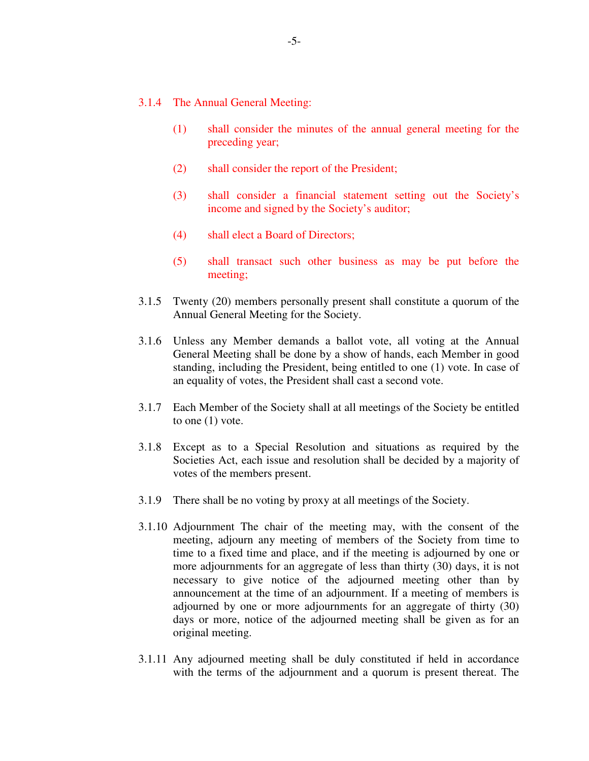- 3.1.4 The Annual General Meeting:
	- (1) shall consider the minutes of the annual general meeting for the preceding year;
	- (2) shall consider the report of the President;
	- (3) shall consider a financial statement setting out the Society's income and signed by the Society's auditor;
	- (4) shall elect a Board of Directors;
	- (5) shall transact such other business as may be put before the meeting;
- 3.1.5 Twenty (20) members personally present shall constitute a quorum of the Annual General Meeting for the Society.
- 3.1.6 Unless any Member demands a ballot vote, all voting at the Annual General Meeting shall be done by a show of hands, each Member in good standing, including the President, being entitled to one (1) vote. In case of an equality of votes, the President shall cast a second vote.
- 3.1.7 Each Member of the Society shall at all meetings of the Society be entitled to one (1) vote.
- 3.1.8 Except as to a Special Resolution and situations as required by the Societies Act, each issue and resolution shall be decided by a majority of votes of the members present.
- 3.1.9 There shall be no voting by proxy at all meetings of the Society.
- 3.1.10 Adjournment The chair of the meeting may, with the consent of the meeting, adjourn any meeting of members of the Society from time to time to a fixed time and place, and if the meeting is adjourned by one or more adjournments for an aggregate of less than thirty (30) days, it is not necessary to give notice of the adjourned meeting other than by announcement at the time of an adjournment. If a meeting of members is adjourned by one or more adjournments for an aggregate of thirty (30) days or more, notice of the adjourned meeting shall be given as for an original meeting.
- 3.1.11 Any adjourned meeting shall be duly constituted if held in accordance with the terms of the adjournment and a quorum is present thereat. The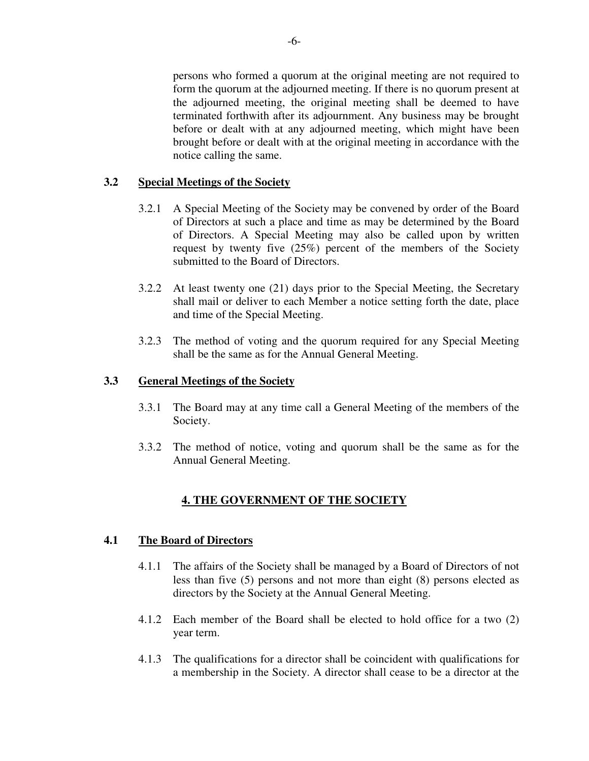persons who formed a quorum at the original meeting are not required to form the quorum at the adjourned meeting. If there is no quorum present at the adjourned meeting, the original meeting shall be deemed to have terminated forthwith after its adjournment. Any business may be brought before or dealt with at any adjourned meeting, which might have been brought before or dealt with at the original meeting in accordance with the notice calling the same.

# **3.2 Special Meetings of the Society**

- 3.2.1 A Special Meeting of the Society may be convened by order of the Board of Directors at such a place and time as may be determined by the Board of Directors. A Special Meeting may also be called upon by written request by twenty five (25%) percent of the members of the Society submitted to the Board of Directors.
- 3.2.2 At least twenty one (21) days prior to the Special Meeting, the Secretary shall mail or deliver to each Member a notice setting forth the date, place and time of the Special Meeting.
- 3.2.3 The method of voting and the quorum required for any Special Meeting shall be the same as for the Annual General Meeting.

## **3.3 General Meetings of the Society**

- 3.3.1 The Board may at any time call a General Meeting of the members of the Society.
- 3.3.2 The method of notice, voting and quorum shall be the same as for the Annual General Meeting.

# **4. THE GOVERNMENT OF THE SOCIETY**

## **4.1 The Board of Directors**

- 4.1.1 The affairs of the Society shall be managed by a Board of Directors of not less than five (5) persons and not more than eight (8) persons elected as directors by the Society at the Annual General Meeting.
- 4.1.2 Each member of the Board shall be elected to hold office for a two (2) year term.
- 4.1.3 The qualifications for a director shall be coincident with qualifications for a membership in the Society. A director shall cease to be a director at the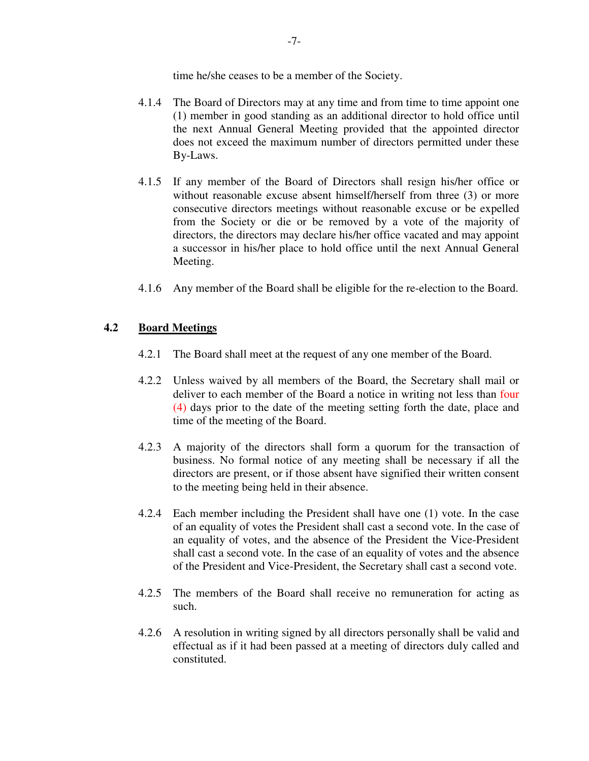time he/she ceases to be a member of the Society.

- 4.1.4 The Board of Directors may at any time and from time to time appoint one (1) member in good standing as an additional director to hold office until the next Annual General Meeting provided that the appointed director does not exceed the maximum number of directors permitted under these By-Laws.
- 4.1.5 If any member of the Board of Directors shall resign his/her office or without reasonable excuse absent himself/herself from three (3) or more consecutive directors meetings without reasonable excuse or be expelled from the Society or die or be removed by a vote of the majority of directors, the directors may declare his/her office vacated and may appoint a successor in his/her place to hold office until the next Annual General Meeting.
- 4.1.6 Any member of the Board shall be eligible for the re-election to the Board.

# **4.2 Board Meetings**

- 4.2.1 The Board shall meet at the request of any one member of the Board.
- 4.2.2 Unless waived by all members of the Board, the Secretary shall mail or deliver to each member of the Board a notice in writing not less than four (4) days prior to the date of the meeting setting forth the date, place and time of the meeting of the Board.
- 4.2.3 A majority of the directors shall form a quorum for the transaction of business. No formal notice of any meeting shall be necessary if all the directors are present, or if those absent have signified their written consent to the meeting being held in their absence.
- 4.2.4 Each member including the President shall have one (1) vote. In the case of an equality of votes the President shall cast a second vote. In the case of an equality of votes, and the absence of the President the Vice-President shall cast a second vote. In the case of an equality of votes and the absence of the President and Vice-President, the Secretary shall cast a second vote.
- 4.2.5 The members of the Board shall receive no remuneration for acting as such.
- 4.2.6 A resolution in writing signed by all directors personally shall be valid and effectual as if it had been passed at a meeting of directors duly called and constituted.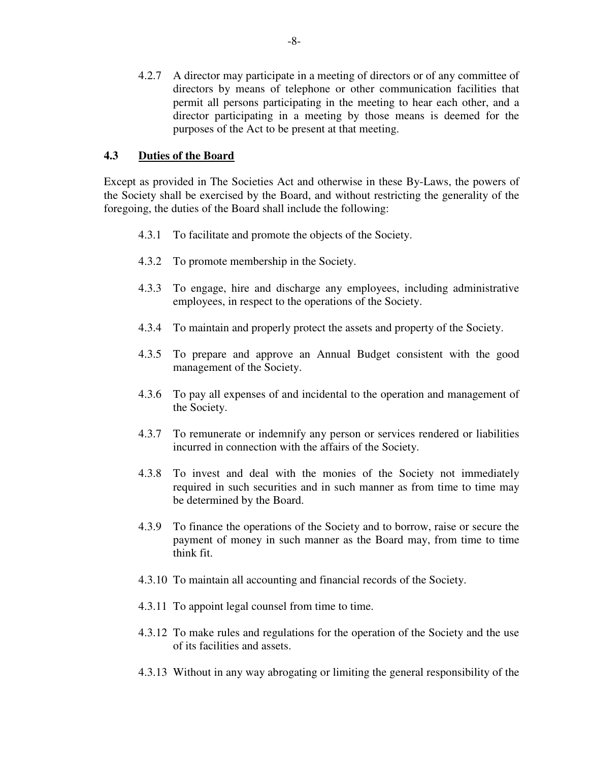4.2.7 A director may participate in a meeting of directors or of any committee of directors by means of telephone or other communication facilities that permit all persons participating in the meeting to hear each other, and a director participating in a meeting by those means is deemed for the purposes of the Act to be present at that meeting.

## **4.3 Duties of the Board**

Except as provided in The Societies Act and otherwise in these By-Laws, the powers of the Society shall be exercised by the Board, and without restricting the generality of the foregoing, the duties of the Board shall include the following:

- 4.3.1 To facilitate and promote the objects of the Society.
- 4.3.2 To promote membership in the Society.
- 4.3.3 To engage, hire and discharge any employees, including administrative employees, in respect to the operations of the Society.
- 4.3.4 To maintain and properly protect the assets and property of the Society.
- 4.3.5 To prepare and approve an Annual Budget consistent with the good management of the Society.
- 4.3.6 To pay all expenses of and incidental to the operation and management of the Society.
- 4.3.7 To remunerate or indemnify any person or services rendered or liabilities incurred in connection with the affairs of the Society.
- 4.3.8 To invest and deal with the monies of the Society not immediately required in such securities and in such manner as from time to time may be determined by the Board.
- 4.3.9 To finance the operations of the Society and to borrow, raise or secure the payment of money in such manner as the Board may, from time to time think fit.
- 4.3.10 To maintain all accounting and financial records of the Society.
- 4.3.11 To appoint legal counsel from time to time.
- 4.3.12 To make rules and regulations for the operation of the Society and the use of its facilities and assets.
- 4.3.13 Without in any way abrogating or limiting the general responsibility of the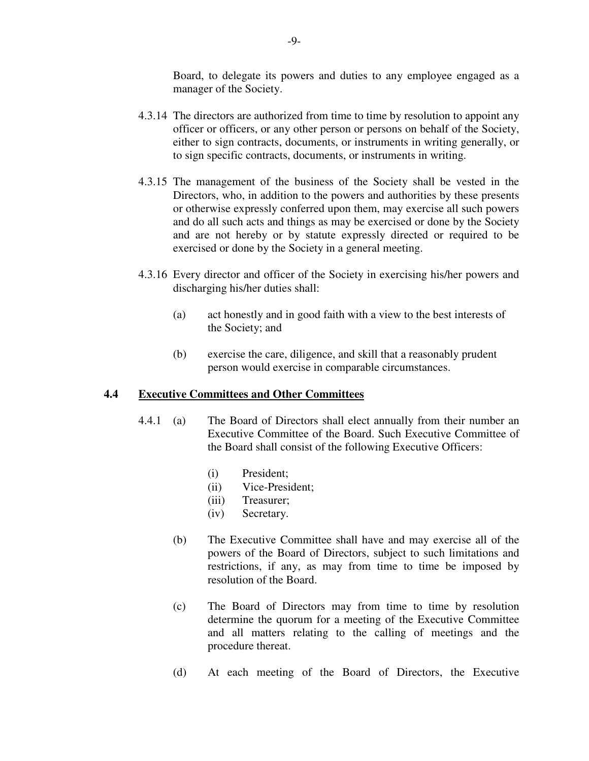Board, to delegate its powers and duties to any employee engaged as a manager of the Society.

- 4.3.14 The directors are authorized from time to time by resolution to appoint any officer or officers, or any other person or persons on behalf of the Society, either to sign contracts, documents, or instruments in writing generally, or to sign specific contracts, documents, or instruments in writing.
- 4.3.15 The management of the business of the Society shall be vested in the Directors, who, in addition to the powers and authorities by these presents or otherwise expressly conferred upon them, may exercise all such powers and do all such acts and things as may be exercised or done by the Society and are not hereby or by statute expressly directed or required to be exercised or done by the Society in a general meeting.
- 4.3.16 Every director and officer of the Society in exercising his/her powers and discharging his/her duties shall:
	- (a) act honestly and in good faith with a view to the best interests of the Society; and
	- (b) exercise the care, diligence, and skill that a reasonably prudent person would exercise in comparable circumstances.

#### **4.4 Executive Committees and Other Committees**

- 4.4.1 (a) The Board of Directors shall elect annually from their number an Executive Committee of the Board. Such Executive Committee of the Board shall consist of the following Executive Officers:
	- (i) President;
	- (ii) Vice-President;
	- (iii) Treasurer;
	- (iv) Secretary.
	- (b) The Executive Committee shall have and may exercise all of the powers of the Board of Directors, subject to such limitations and restrictions, if any, as may from time to time be imposed by resolution of the Board.
	- (c) The Board of Directors may from time to time by resolution determine the quorum for a meeting of the Executive Committee and all matters relating to the calling of meetings and the procedure thereat.
	- (d) At each meeting of the Board of Directors, the Executive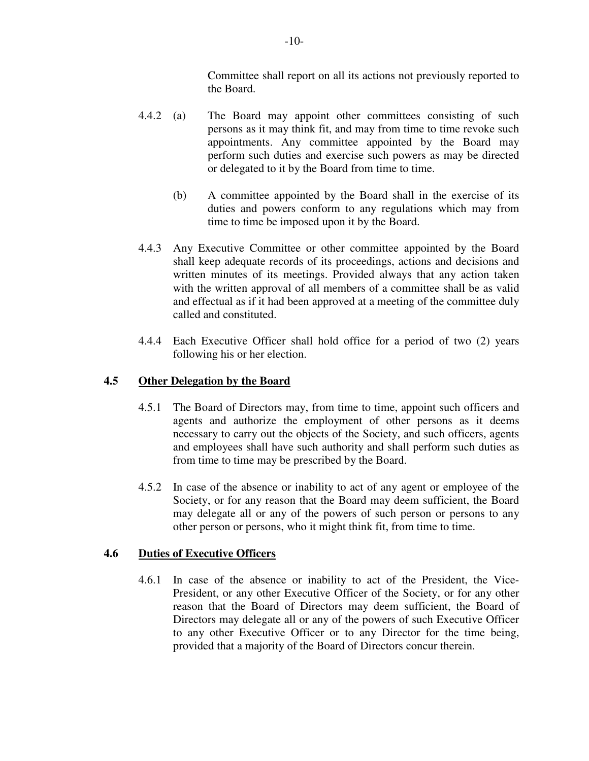Committee shall report on all its actions not previously reported to the Board.

- 4.4.2 (a) The Board may appoint other committees consisting of such persons as it may think fit, and may from time to time revoke such appointments. Any committee appointed by the Board may perform such duties and exercise such powers as may be directed or delegated to it by the Board from time to time.
	- (b) A committee appointed by the Board shall in the exercise of its duties and powers conform to any regulations which may from time to time be imposed upon it by the Board.
- 4.4.3 Any Executive Committee or other committee appointed by the Board shall keep adequate records of its proceedings, actions and decisions and written minutes of its meetings. Provided always that any action taken with the written approval of all members of a committee shall be as valid and effectual as if it had been approved at a meeting of the committee duly called and constituted.
- 4.4.4 Each Executive Officer shall hold office for a period of two (2) years following his or her election.

# **4.5 Other Delegation by the Board**

- 4.5.1 The Board of Directors may, from time to time, appoint such officers and agents and authorize the employment of other persons as it deems necessary to carry out the objects of the Society, and such officers, agents and employees shall have such authority and shall perform such duties as from time to time may be prescribed by the Board.
- 4.5.2 In case of the absence or inability to act of any agent or employee of the Society, or for any reason that the Board may deem sufficient, the Board may delegate all or any of the powers of such person or persons to any other person or persons, who it might think fit, from time to time.

## **4.6 Duties of Executive Officers**

4.6.1 In case of the absence or inability to act of the President, the Vice-President, or any other Executive Officer of the Society, or for any other reason that the Board of Directors may deem sufficient, the Board of Directors may delegate all or any of the powers of such Executive Officer to any other Executive Officer or to any Director for the time being, provided that a majority of the Board of Directors concur therein.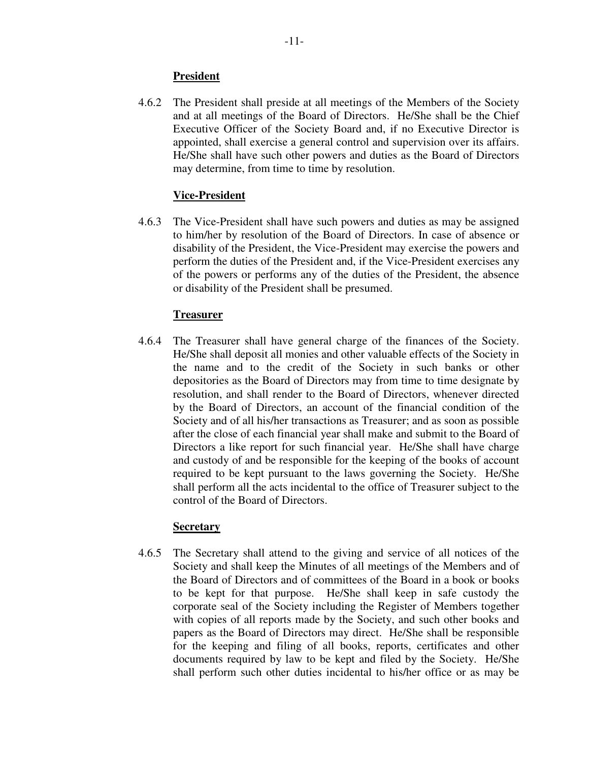# **President**

4.6.2 The President shall preside at all meetings of the Members of the Society and at all meetings of the Board of Directors. He/She shall be the Chief Executive Officer of the Society Board and, if no Executive Director is appointed, shall exercise a general control and supervision over its affairs. He/She shall have such other powers and duties as the Board of Directors may determine, from time to time by resolution.

# **Vice-President**

4.6.3 The Vice-President shall have such powers and duties as may be assigned to him/her by resolution of the Board of Directors. In case of absence or disability of the President, the Vice-President may exercise the powers and perform the duties of the President and, if the Vice-President exercises any of the powers or performs any of the duties of the President, the absence or disability of the President shall be presumed.

# **Treasurer**

4.6.4 The Treasurer shall have general charge of the finances of the Society. He/She shall deposit all monies and other valuable effects of the Society in the name and to the credit of the Society in such banks or other depositories as the Board of Directors may from time to time designate by resolution, and shall render to the Board of Directors, whenever directed by the Board of Directors, an account of the financial condition of the Society and of all his/her transactions as Treasurer; and as soon as possible after the close of each financial year shall make and submit to the Board of Directors a like report for such financial year. He/She shall have charge and custody of and be responsible for the keeping of the books of account required to be kept pursuant to the laws governing the Society. He/She shall perform all the acts incidental to the office of Treasurer subject to the control of the Board of Directors.

## **Secretary**

4.6.5 The Secretary shall attend to the giving and service of all notices of the Society and shall keep the Minutes of all meetings of the Members and of the Board of Directors and of committees of the Board in a book or books to be kept for that purpose. He/She shall keep in safe custody the corporate seal of the Society including the Register of Members together with copies of all reports made by the Society, and such other books and papers as the Board of Directors may direct. He/She shall be responsible for the keeping and filing of all books, reports, certificates and other documents required by law to be kept and filed by the Society. He/She shall perform such other duties incidental to his/her office or as may be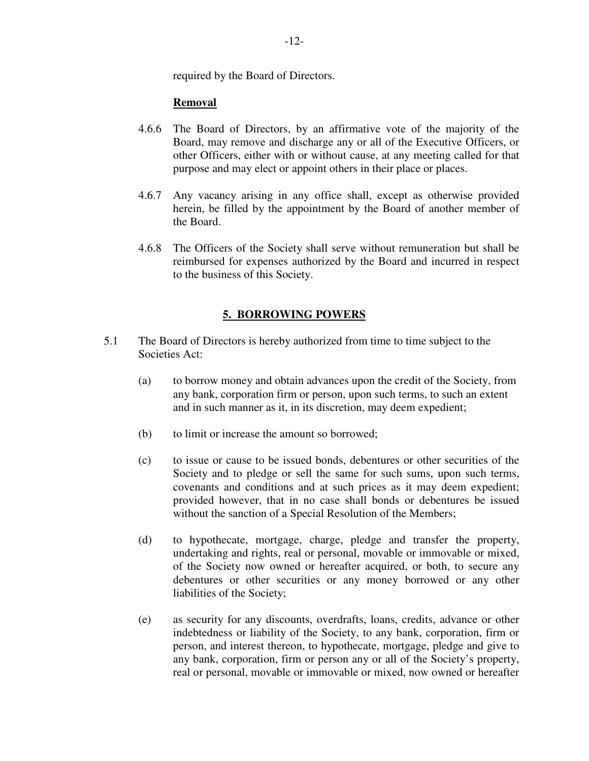required by the Board of Directors.

# **Removal**

- 4.6.6 The Board of Directors, by an affirmative vote of the majority of the Board, may remove and discharge any or all of the Executive Officers, or other Officers, either with or without cause, at any meeting called for that purpose and may elect or appoint others in their place or places.
- 4.6.7 Any vacancy arising in any office shall, except as otherwise provided herein, be filled by the appointment by the Board of another member of the Board.
- 4.6.8 The Officers of the Society shall serve without remuneration but shall be reimbursed for expenses authorized by the Board and incurred in respect to the business of this Society.

# **5. BORROWING POWERS**

- 5.1 The Board of Directors is hereby authorized from time to time subject to the Societies Act:
	- (a) to borrow money and obtain advances upon the credit of the Society, from any bank, corporation firm or person, upon such terms, to such an extent and in such manner as it, in its discretion, may deem expedient;
	- (b) to limit or increase the amount so borrowed;
	- (c) to issue or cause to be issued bonds, debentures or other securities of the Society and to pledge or sell the same for such sums, upon such terms, covenants and conditions and at such prices as it may deem expedient; provided however, that in no case shall bonds or debentures be issued without the sanction of a Special Resolution of the Members;
	- (d) to hypothecate, mortgage, charge, pledge and transfer the property, undertaking and rights, real or personal, movable or immovable or mixed, of the Society now owned or hereafter acquired, or both, to secure any debentures or other securities or any money borrowed or any other liabilities of the Society;
	- (e) as security for any discounts, overdrafts, loans, credits, advance or other indebtedness or liability of the Society, to any bank, corporation, firm or person, and interest thereon, to hypothecate, mortgage, pledge and give to any bank, corporation, firm or person any or all of the Society's property, real or personal, movable or immovable or mixed, now owned or hereafter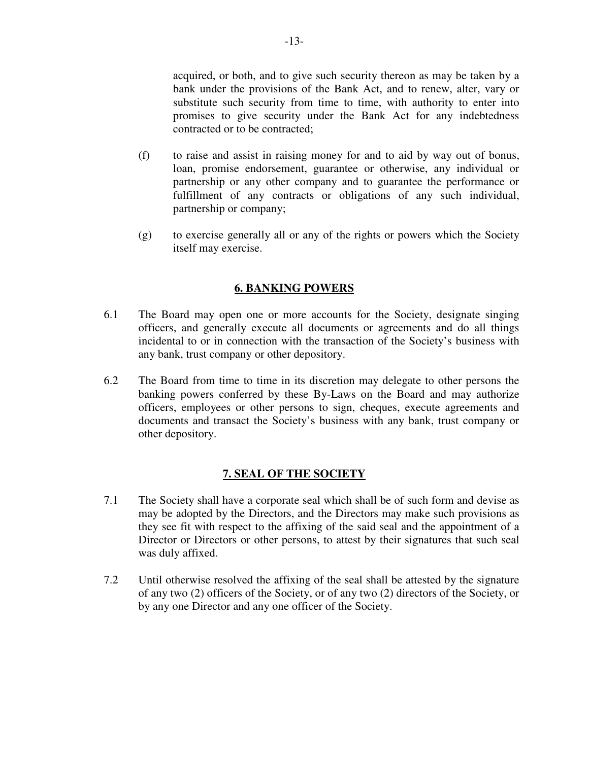acquired, or both, and to give such security thereon as may be taken by a bank under the provisions of the Bank Act, and to renew, alter, vary or substitute such security from time to time, with authority to enter into promises to give security under the Bank Act for any indebtedness contracted or to be contracted;

- (f) to raise and assist in raising money for and to aid by way out of bonus, loan, promise endorsement, guarantee or otherwise, any individual or partnership or any other company and to guarantee the performance or fulfillment of any contracts or obligations of any such individual, partnership or company;
- (g) to exercise generally all or any of the rights or powers which the Society itself may exercise.

# **6. BANKING POWERS**

- 6.1 The Board may open one or more accounts for the Society, designate singing officers, and generally execute all documents or agreements and do all things incidental to or in connection with the transaction of the Society's business with any bank, trust company or other depository.
- 6.2 The Board from time to time in its discretion may delegate to other persons the banking powers conferred by these By-Laws on the Board and may authorize officers, employees or other persons to sign, cheques, execute agreements and documents and transact the Society's business with any bank, trust company or other depository.

## **7. SEAL OF THE SOCIETY**

- 7.1 The Society shall have a corporate seal which shall be of such form and devise as may be adopted by the Directors, and the Directors may make such provisions as they see fit with respect to the affixing of the said seal and the appointment of a Director or Directors or other persons, to attest by their signatures that such seal was duly affixed.
- 7.2 Until otherwise resolved the affixing of the seal shall be attested by the signature of any two (2) officers of the Society, or of any two (2) directors of the Society, or by any one Director and any one officer of the Society.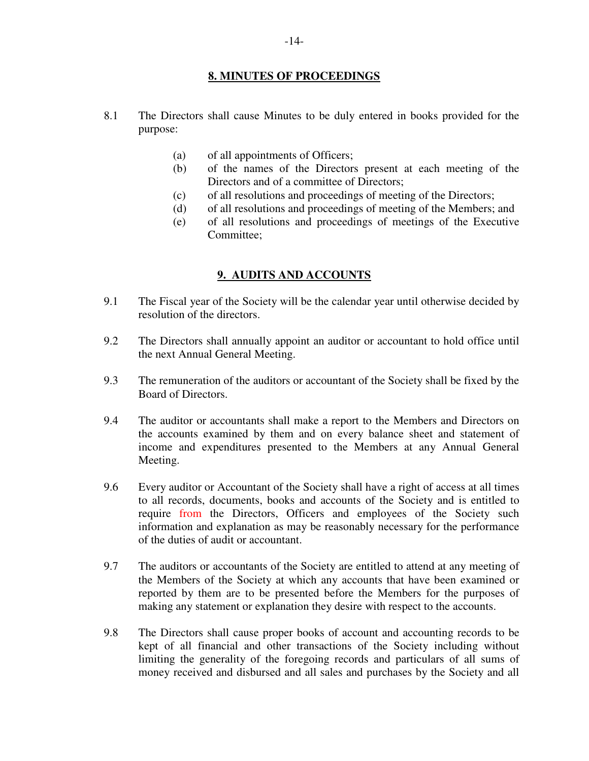## **8. MINUTES OF PROCEEDINGS**

- 8.1 The Directors shall cause Minutes to be duly entered in books provided for the purpose:
	- (a) of all appointments of Officers;
	- (b) of the names of the Directors present at each meeting of the Directors and of a committee of Directors;
	- (c) of all resolutions and proceedings of meeting of the Directors;
	- (d) of all resolutions and proceedings of meeting of the Members; and
	- (e) of all resolutions and proceedings of meetings of the Executive Committee;

# **9. AUDITS AND ACCOUNTS**

- 9.1 The Fiscal year of the Society will be the calendar year until otherwise decided by resolution of the directors.
- 9.2 The Directors shall annually appoint an auditor or accountant to hold office until the next Annual General Meeting.
- 9.3 The remuneration of the auditors or accountant of the Society shall be fixed by the Board of Directors.
- 9.4 The auditor or accountants shall make a report to the Members and Directors on the accounts examined by them and on every balance sheet and statement of income and expenditures presented to the Members at any Annual General Meeting.
- 9.6 Every auditor or Accountant of the Society shall have a right of access at all times to all records, documents, books and accounts of the Society and is entitled to require from the Directors, Officers and employees of the Society such information and explanation as may be reasonably necessary for the performance of the duties of audit or accountant.
- 9.7 The auditors or accountants of the Society are entitled to attend at any meeting of the Members of the Society at which any accounts that have been examined or reported by them are to be presented before the Members for the purposes of making any statement or explanation they desire with respect to the accounts.
- 9.8 The Directors shall cause proper books of account and accounting records to be kept of all financial and other transactions of the Society including without limiting the generality of the foregoing records and particulars of all sums of money received and disbursed and all sales and purchases by the Society and all